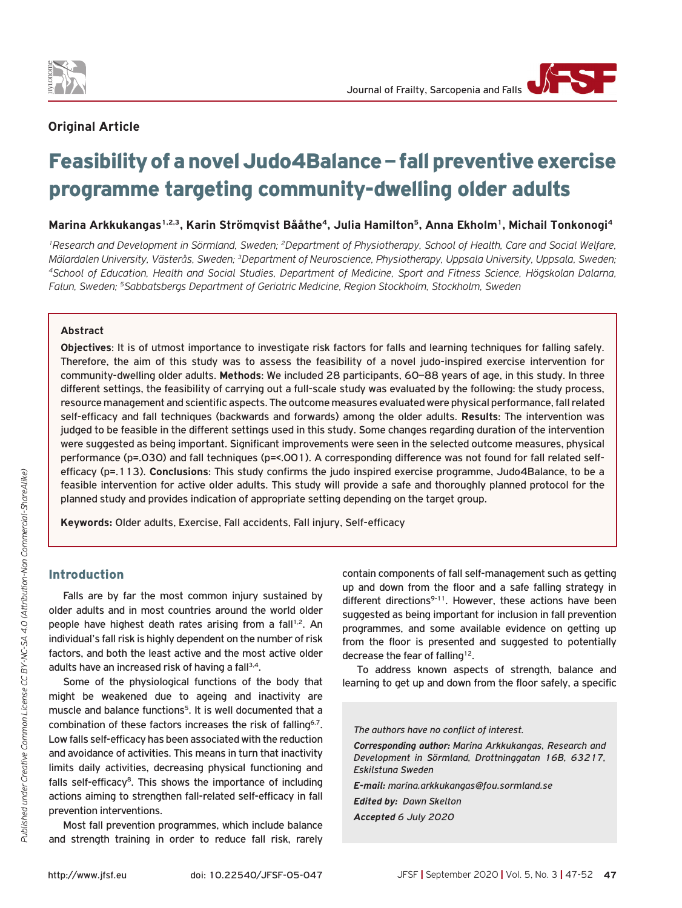

# **Original Article**

# Feasibility of a novel Judo4Balance – fall preventive exercise programme targeting community-dwelling older adults

**Marina Arkkukangas1,2,3, Karin Strömqvist Bååthe4, Julia Hamilton5, Anna Ekholm1, Michail Tonkonogi4**

*1Research and Development in Sörmland, Sweden; 2Department of Physiotherapy, School of Health, Care and Social Welfare,*  Mälardalen University, Västerås, Sweden; <sup>3</sup>Department of Neuroscience, Physiotherapy, Uppsala University, Uppsala, Sweden;<br><sup>4</sup>School of Education, Health and Social Studies, Department of Medicine, Sport and Fitness Scien *Falun, Sweden; 5Sabbatsbergs Department of Geriatric Medicine, Region Stockholm, Stockholm, Sweden*

# **Abstract**

**Objectives**: It is of utmost importance to investigate risk factors for falls and learning techniques for falling safely. Therefore, the aim of this study was to assess the feasibility of a novel judo-inspired exercise intervention for community-dwelling older adults. **Methods**: We included 28 participants, 60–88 years of age, in this study. In three different settings, the feasibility of carrying out a full-scale study was evaluated by the following: the study process, resource management and scientific aspects. The outcome measures evaluated were physical performance, fall related self-efficacy and fall techniques (backwards and forwards) among the older adults. **Results**: The intervention was judged to be feasible in the different settings used in this study. Some changes regarding duration of the intervention were suggested as being important. Significant improvements were seen in the selected outcome measures, physical performance (p=.030) and fall techniques (p=<.001). A corresponding difference was not found for fall related selfefficacy (p=.113). **Conclusions**: This study confirms the judo inspired exercise programme, Judo4Balance, to be a feasible intervention for active older adults. This study will provide a safe and thoroughly planned protocol for the planned study and provides indication of appropriate setting depending on the target group.

**Keywords:** Older adults, Exercise, Fall accidents, Fall injury, Self-efficacy

# Introduction

Falls are by far the most common injury sustained by older adults and in most countries around the world older people have highest death rates arising from a fall<sup>1,2</sup>. An individual's fall risk is highly dependent on the number of risk factors, and both the least active and the most active older adults have an increased risk of having a fall<sup>3,4</sup>.

Some of the physiological functions of the body that might be weakened due to ageing and inactivity are muscle and balance functions<sup>5</sup>. It is well documented that a combination of these factors increases the risk of falling<sup>6,7</sup>. Low falls self-efficacy has been associated with the reduction and avoidance of activities. This means in turn that inactivity limits daily activities, decreasing physical functioning and falls self-efficacy $8$ . This shows the importance of including actions aiming to strengthen fall-related self-efficacy in fall prevention interventions.

Most fall prevention programmes, which include balance and strength training in order to reduce fall risk, rarely contain components of fall self-management such as getting up and down from the floor and a safe falling strategy in different directions $9-11$ . However, these actions have been suggested as being important for inclusion in fall prevention programmes, and some available evidence on getting up from the floor is presented and suggested to potentially decrease the fear of falling<sup>12</sup>.

To address known aspects of strength, balance and learning to get up and down from the floor safely, a specific

*The authors have no conflict of interest.*

*Corresponding author: Marina Arkkukangas, Research and Development in Sörmland, Drottninggatan 16B, 63217, Eskilstuna Sweden* 

*E-mail: marina.arkkukangas@fou.sormland.se*

*Edited by: Dawn Skelton Accepted 6 July 2020*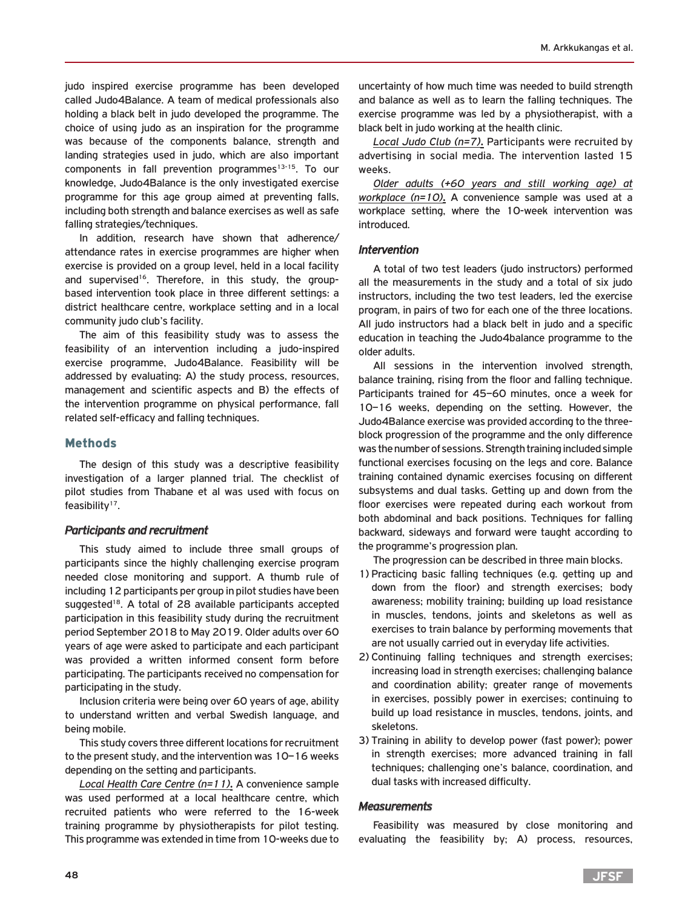judo inspired exercise programme has been developed called Judo4Balance. A team of medical professionals also holding a black belt in judo developed the programme. The choice of using judo as an inspiration for the programme was because of the components balance, strength and landing strategies used in judo, which are also important components in fall prevention programmes $13-15$ . To our knowledge, Judo4Balance is the only investigated exercise programme for this age group aimed at preventing falls, including both strength and balance exercises as well as safe falling strategies/techniques.

In addition, research have shown that adherence/ attendance rates in exercise programmes are higher when exercise is provided on a group level, held in a local facility and supervised<sup>16</sup>. Therefore, in this study, the groupbased intervention took place in three different settings: a district healthcare centre, workplace setting and in a local community judo club's facility.

The aim of this feasibility study was to assess the feasibility of an intervention including a judo-inspired exercise programme, Judo4Balance. Feasibility will be addressed by evaluating: A) the study process, resources, management and scientific aspects and B) the effects of the intervention programme on physical performance, fall related self-efficacy and falling techniques.

# Methods

The design of this study was a descriptive feasibility investigation of a larger planned trial. The checklist of pilot studies from Thabane et al was used with focus on feasibility $17$ .

# *Participants and recruitment*

This study aimed to include three small groups of participants since the highly challenging exercise program needed close monitoring and support. A thumb rule of including 12 participants per group in pilot studies have been suggested<sup>18</sup>. A total of 28 available participants accepted participation in this feasibility study during the recruitment period September 2018 to May 2019. Older adults over 60 years of age were asked to participate and each participant was provided a written informed consent form before participating. The participants received no compensation for participating in the study.

Inclusion criteria were being over 60 years of age, ability to understand written and verbal Swedish language, and being mobile.

This study covers three different locations for recruitment to the present study, and the intervention was 10–16 weeks depending on the setting and participants.

*Local Health Care Centre (n=11)***.** A convenience sample was used performed at a local healthcare centre, which recruited patients who were referred to the 16-week training programme by physiotherapists for pilot testing. This programme was extended in time from 10-weeks due to

uncertainty of how much time was needed to build strength and balance as well as to learn the falling techniques. The exercise programme was led by a physiotherapist, with a black belt in judo working at the health clinic.

*Local Judo Club (n=7)***.** Participants were recruited by advertising in social media. The intervention lasted 15 weeks.

*Older adults (+60 years and still working age) at workplace (n=10)***.** A convenience sample was used at a workplace setting, where the 10-week intervention was introduced.

## *Intervention*

A total of two test leaders (judo instructors) performed all the measurements in the study and a total of six judo instructors, including the two test leaders, led the exercise program, in pairs of two for each one of the three locations. All judo instructors had a black belt in judo and a specific education in teaching the Judo4balance programme to the older adults.

All sessions in the intervention involved strength, balance training, rising from the floor and falling technique. Participants trained for 45–60 minutes, once a week for 10–16 weeks, depending on the setting. However, the Judo4Balance exercise was provided according to the threeblock progression of the programme and the only difference was the number of sessions. Strength training included simple functional exercises focusing on the legs and core. Balance training contained dynamic exercises focusing on different subsystems and dual tasks. Getting up and down from the floor exercises were repeated during each workout from both abdominal and back positions. Techniques for falling backward, sideways and forward were taught according to the programme's progression plan.

The progression can be described in three main blocks.

- 1) Practicing basic falling techniques (e.g. getting up and down from the floor) and strength exercises; body awareness; mobility training; building up load resistance in muscles, tendons, joints and skeletons as well as exercises to train balance by performing movements that are not usually carried out in everyday life activities.
- 2) Continuing falling techniques and strength exercises; increasing load in strength exercises; challenging balance and coordination ability; greater range of movements in exercises, possibly power in exercises; continuing to build up load resistance in muscles, tendons, joints, and skeletons.
- 3) Training in ability to develop power (fast power); power in strength exercises; more advanced training in fall techniques; challenging one's balance, coordination, and dual tasks with increased difficulty.

## *Measurements*

Feasibility was measured by close monitoring and evaluating the feasibility by; A) process, resources,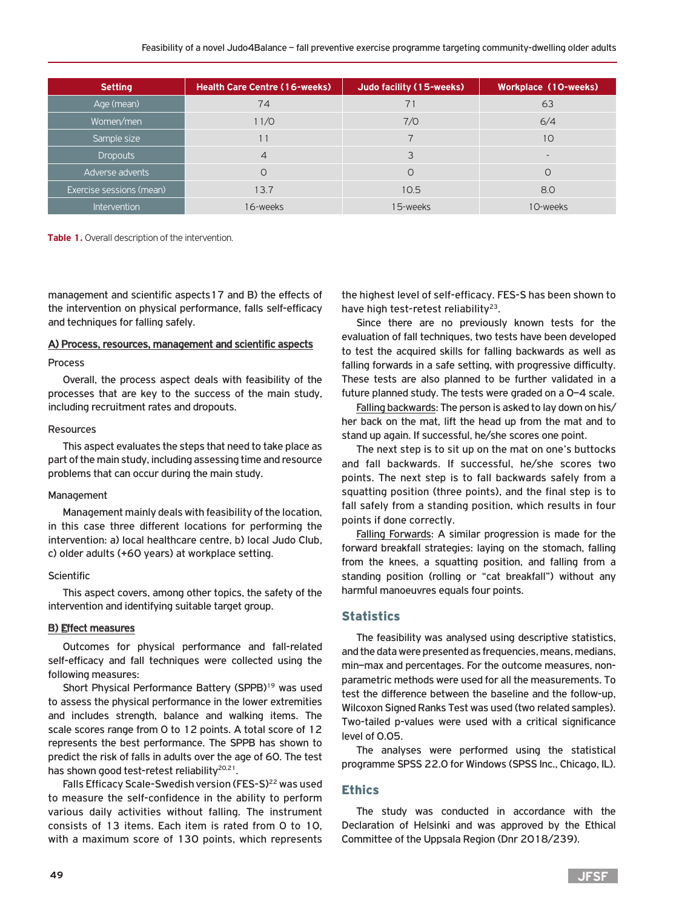| <b>Setting</b>           | <b>Health Care Centre (16-weeks)</b> | Judo facility (15-weeks) | Workplace (10-weeks) |
|--------------------------|--------------------------------------|--------------------------|----------------------|
| Age (mean)               | 74                                   |                          | 63                   |
| Women/men                | 11/0                                 | 7/0                      | 6/4                  |
| Sample size              | 11                                   |                          | 10                   |
| <b>Dropouts</b>          | $\overline{4}$                       | 3                        |                      |
| Adverse advents          | 0                                    |                          |                      |
| Exercise sessions (mean) | 13.7                                 | 10.5                     | 8.0                  |
| Intervention             | 16-weeks                             | 15-weeks                 | 10-weeks             |

**Table 1.** Overall description of the intervention.

management and scientific aspects17 and B) the effects of the intervention on physical performance, falls self-efficacy and techniques for falling safely.

#### A) Process, resources, management and scientific aspects

#### Process

Overall, the process aspect deals with feasibility of the processes that are key to the success of the main study, including recruitment rates and dropouts.

#### Resources

This aspect evaluates the steps that need to take place as part of the main study, including assessing time and resource problems that can occur during the main study.

#### Management

Management mainly deals with feasibility of the location, in this case three different locations for performing the intervention: a) local healthcare centre, b) local Judo Club, c) older adults (+60 years) at workplace setting.

## **Scientific**

This aspect covers, among other topics, the safety of the intervention and identifying suitable target group.

## B) Effect measures

Outcomes for physical performance and fall-related self-efficacy and fall techniques were collected using the following measures:

Short Physical Performance Battery (SPPB)<sup>19</sup> was used to assess the physical performance in the lower extremities and includes strength, balance and walking items. The scale scores range from 0 to 12 points. A total score of 12 represents the best performance. The SPPB has shown to predict the risk of falls in adults over the age of 60. The test has shown good test-retest reliability<sup>20,21</sup>.

Falls Efficacy Scale-Swedish version (FES-S)<sup>22</sup> was used to measure the self-confidence in the ability to perform various daily activities without falling. The instrument consists of 13 items. Each item is rated from 0 to 10, with a maximum score of 130 points, which represents

the highest level of self-efficacy. FES-S has been shown to have high test-retest reliability<sup>23</sup>.

Since there are no previously known tests for the evaluation of fall techniques, two tests have been developed to test the acquired skills for falling backwards as well as falling forwards in a safe setting, with progressive difficulty. These tests are also planned to be further validated in a future planned study. The tests were graded on a 0–4 scale.

Falling backwards: The person is asked to lay down on his/ her back on the mat, lift the head up from the mat and to stand up again. If successful, he/she scores one point.

The next step is to sit up on the mat on one's buttocks and fall backwards. If successful, he/she scores two points. The next step is to fall backwards safely from a squatting position (three points), and the final step is to fall safely from a standing position, which results in four points if done correctly.

Falling Forwards: A similar progression is made for the forward breakfall strategies: laying on the stomach, falling from the knees, a squatting position, and falling from a standing position (rolling or "cat breakfall") without any harmful manoeuvres equals four points.

# **Statistics**

The feasibility was analysed using descriptive statistics, and the data were presented as frequencies, means, medians, min–max and percentages. For the outcome measures, nonparametric methods were used for all the measurements. To test the difference between the baseline and the follow-up, Wilcoxon Signed Ranks Test was used (two related samples). Two-tailed p-values were used with a critical significance level of 0.05.

The analyses were performed using the statistical programme SPSS 22.0 for Windows (SPSS Inc., Chicago, IL).

# Ethics

The study was conducted in accordance with the Declaration of Helsinki and was approved by the Ethical Committee of the Uppsala Region (Dnr 2018/239).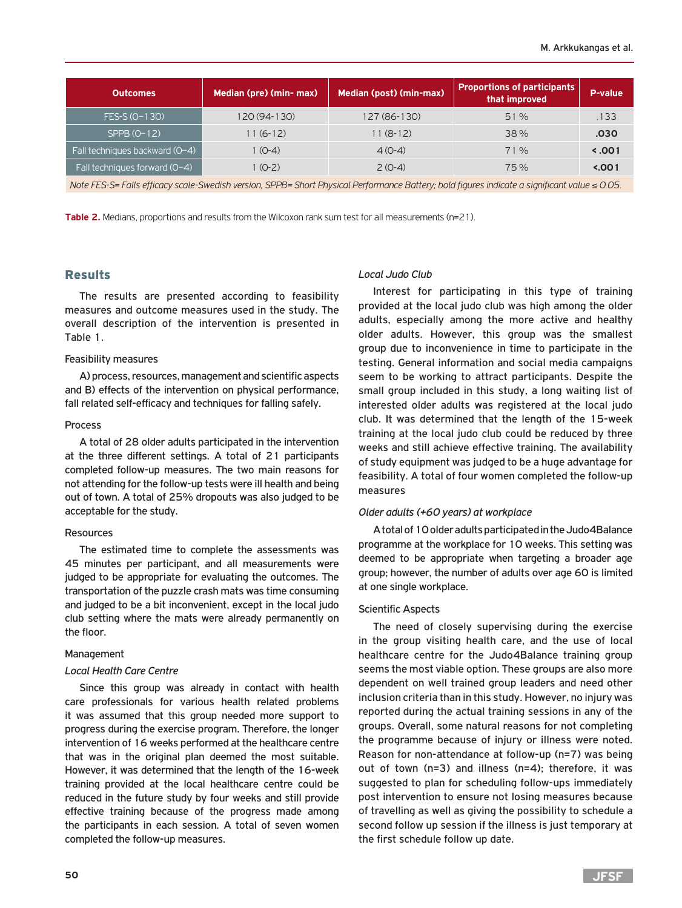| <b>Outcomes</b>                 | Median (pre) (min- max) | <b>Median (post) (min-max)</b> | <b>Proportions of participants</b><br>that improved | P-value |  |
|---------------------------------|-------------------------|--------------------------------|-----------------------------------------------------|---------|--|
| FES-S (0-130)                   | 120 (94-130)            | 127 (86-130)                   | 51%                                                 | .133    |  |
| $SPPB (O-12)$                   | $11(6-12)$              | $11(8-12)$                     | 38%                                                 | .030    |  |
| Fall techniques backward (0-4)  | $1(0-4)$                | $4(0-4)$                       | 71%                                                 | 5.001   |  |
| Fall techniques forward $(O-4)$ | 1 (0-2)                 | $2(0-4)$                       | 75%                                                 | 5.001   |  |
| $\sim$ $\sim$                   |                         |                                |                                                     |         |  |

*Note FES-S= Falls efficacy scale-Swedish version, SPPB= Short Physical Performance Battery; bold figures indicate a significant value* ≤ *0.05.*

**Table 2.** Medians, proportions and results from the Wilcoxon rank sum test for all measurements (n=21).

## Results

The results are presented according to feasibility measures and outcome measures used in the study. The overall description of the intervention is presented in Table 1.

#### Feasibility measures

A) process, resources, management and scientific aspects and B) effects of the intervention on physical performance, fall related self-efficacy and techniques for falling safely.

#### Process

A total of 28 older adults participated in the intervention at the three different settings. A total of 21 participants completed follow-up measures. The two main reasons for not attending for the follow-up tests were ill health and being out of town. A total of 25% dropouts was also judged to be acceptable for the study.

#### Resources

The estimated time to complete the assessments was 45 minutes per participant, and all measurements were judged to be appropriate for evaluating the outcomes. The transportation of the puzzle crash mats was time consuming and judged to be a bit inconvenient, except in the local judo club setting where the mats were already permanently on the floor.

#### Management

#### *Local Health Care Centre*

Since this group was already in contact with health care professionals for various health related problems it was assumed that this group needed more support to progress during the exercise program. Therefore, the longer intervention of 16 weeks performed at the healthcare centre that was in the original plan deemed the most suitable. However, it was determined that the length of the 16-week training provided at the local healthcare centre could be reduced in the future study by four weeks and still provide effective training because of the progress made among the participants in each session. A total of seven women completed the follow-up measures.

# *Local Judo Club*

Interest for participating in this type of training provided at the local judo club was high among the older adults, especially among the more active and healthy older adults. However, this group was the smallest group due to inconvenience in time to participate in the testing. General information and social media campaigns seem to be working to attract participants. Despite the small group included in this study, a long waiting list of interested older adults was registered at the local judo club. It was determined that the length of the 15-week training at the local judo club could be reduced by three weeks and still achieve effective training. The availability of study equipment was judged to be a huge advantage for feasibility. A total of four women completed the follow-up measures

# *Older adults (+60 years) at workplace*

A total of 10 older adults participated in the Judo4Balance programme at the workplace for 10 weeks. This setting was deemed to be appropriate when targeting a broader age group; however, the number of adults over age 60 is limited at one single workplace.

#### Scientific Aspects

The need of closely supervising during the exercise in the group visiting health care, and the use of local healthcare centre for the Judo4Balance training group seems the most viable option. These groups are also more dependent on well trained group leaders and need other inclusion criteria than in this study. However, no injury was reported during the actual training sessions in any of the groups. Overall, some natural reasons for not completing the programme because of injury or illness were noted. Reason for non-attendance at follow-up (n=7) was being out of town (n=3) and illness (n=4); therefore, it was suggested to plan for scheduling follow-ups immediately post intervention to ensure not losing measures because of travelling as well as giving the possibility to schedule a second follow up session if the illness is just temporary at the first schedule follow up date.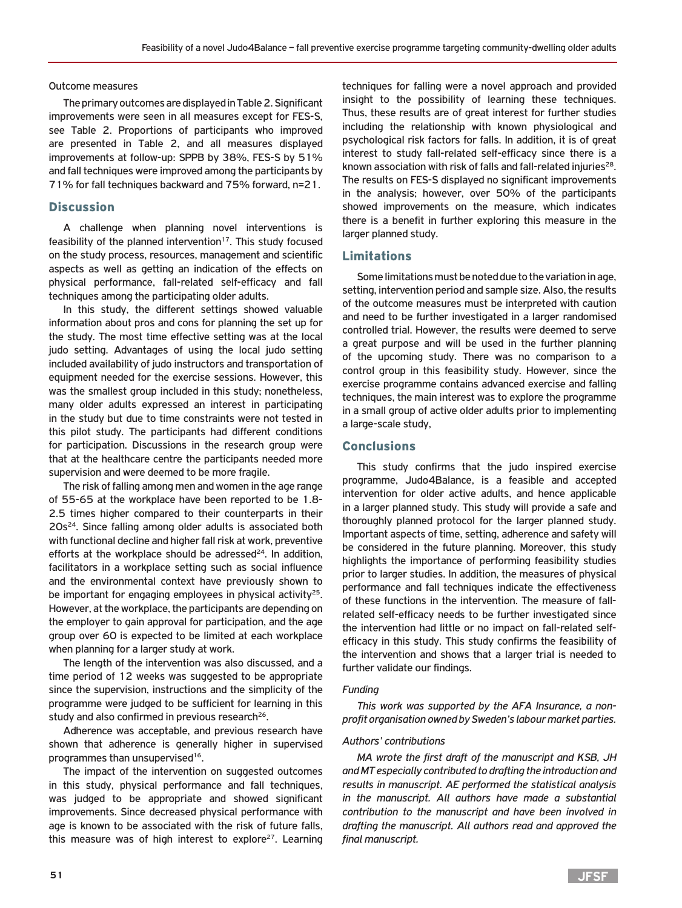Outcome measures

The primary outcomes are displayed in Table 2. Significant improvements were seen in all measures except for FES-S, see Table 2. Proportions of participants who improved are presented in Table 2, and all measures displayed improvements at follow-up: SPPB by 38%, FES-S by 51% and fall techniques were improved among the participants by 71% for fall techniques backward and 75% forward, n=21.

# **Discussion**

A challenge when planning novel interventions is feasibility of the planned intervention<sup>17</sup>. This study focused on the study process, resources, management and scientific aspects as well as getting an indication of the effects on physical performance, fall-related self-efficacy and fall techniques among the participating older adults.

In this study, the different settings showed valuable information about pros and cons for planning the set up for the study. The most time effective setting was at the local judo setting. Advantages of using the local judo setting included availability of judo instructors and transportation of equipment needed for the exercise sessions. However, this was the smallest group included in this study; nonetheless, many older adults expressed an interest in participating in the study but due to time constraints were not tested in this pilot study. The participants had different conditions for participation. Discussions in the research group were that at the healthcare centre the participants needed more supervision and were deemed to be more fragile.

The risk of falling among men and women in the age range of 55-65 at the workplace have been reported to be 1.8- 2.5 times higher compared to their counterparts in their  $20s<sup>24</sup>$ . Since falling among older adults is associated both with functional decline and higher fall risk at work, preventive efforts at the workplace should be adressed $^{24}$ . In addition, facilitators in a workplace setting such as social influence and the environmental context have previously shown to be important for engaging employees in physical activity<sup>25</sup>. However, at the workplace, the participants are depending on the employer to gain approval for participation, and the age group over 60 is expected to be limited at each workplace when planning for a larger study at work.

The length of the intervention was also discussed, and a time period of 12 weeks was suggested to be appropriate since the supervision, instructions and the simplicity of the programme were judged to be sufficient for learning in this study and also confirmed in previous research<sup>26</sup>.

Adherence was acceptable, and previous research have shown that adherence is generally higher in supervised programmes than unsupervised<sup>16</sup>.

The impact of the intervention on suggested outcomes in this study, physical performance and fall techniques, was judged to be appropriate and showed significant improvements. Since decreased physical performance with age is known to be associated with the risk of future falls, this measure was of high interest to explore<sup>27</sup>. Learning

techniques for falling were a novel approach and provided insight to the possibility of learning these techniques. Thus, these results are of great interest for further studies including the relationship with known physiological and psychological risk factors for falls. In addition, it is of great interest to study fall-related self-efficacy since there is a known association with risk of falls and fall-related injuries $^{28}$ . The results on FES-S displayed no significant improvements in the analysis; however, over 50% of the participants showed improvements on the measure, which indicates there is a benefit in further exploring this measure in the larger planned study.

# Limitations

Some limitations must be noted due to the variation in age, setting, intervention period and sample size. Also, the results of the outcome measures must be interpreted with caution and need to be further investigated in a larger randomised controlled trial. However, the results were deemed to serve a great purpose and will be used in the further planning of the upcoming study. There was no comparison to a control group in this feasibility study. However, since the exercise programme contains advanced exercise and falling techniques, the main interest was to explore the programme in a small group of active older adults prior to implementing a large-scale study,

## Conclusions

This study confirms that the judo inspired exercise programme, Judo4Balance, is a feasible and accepted intervention for older active adults, and hence applicable in a larger planned study. This study will provide a safe and thoroughly planned protocol for the larger planned study. Important aspects of time, setting, adherence and safety will be considered in the future planning. Moreover, this study highlights the importance of performing feasibility studies prior to larger studies. In addition, the measures of physical performance and fall techniques indicate the effectiveness of these functions in the intervention. The measure of fallrelated self-efficacy needs to be further investigated since the intervention had little or no impact on fall-related selfefficacy in this study. This study confirms the feasibility of the intervention and shows that a larger trial is needed to further validate our findings.

#### *Funding*

*This work was supported by the AFA Insurance, a nonprofit organisation owned by Sweden's labour market parties.* 

#### *Authors' contributions*

*MA wrote the first draft of the manuscript and KSB, JH and MT especially contributed to drafting the introduction and results in manuscript. AE performed the statistical analysis in the manuscript. All authors have made a substantial contribution to the manuscript and have been involved in drafting the manuscript. All authors read and approved the final manuscript.*